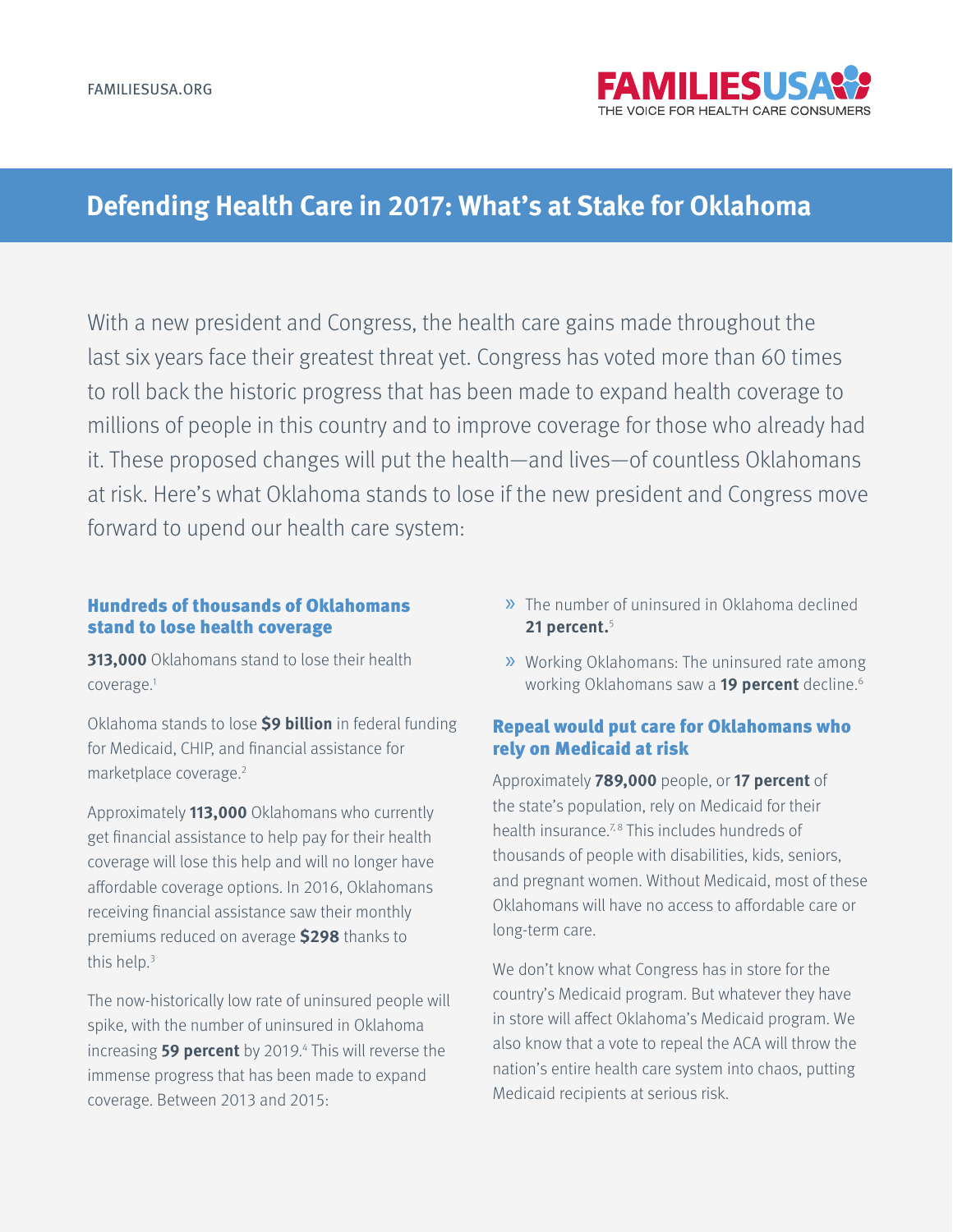

# **Defending Health Care in 2017: What's at Stake for Oklahoma**

With a new president and Congress, the health care gains made throughout the last six years face their greatest threat yet. Congress has voted more than 60 times to roll back the historic progress that has been made to expand health coverage to millions of people in this country and to improve coverage for those who already had it. These proposed changes will put the health—and lives—of countless Oklahomans at risk. Here's what Oklahoma stands to lose if the new president and Congress move forward to upend our health care system:

#### Hundreds of thousands of Oklahomans stand to lose health coverage

**313,000** Oklahomans stand to lose their health coverage.1

Oklahoma stands to lose **\$9 billion** in federal funding for Medicaid, CHIP, and financial assistance for marketplace coverage.2

Approximately **113,000** Oklahomans who currently get financial assistance to help pay for their health coverage will lose this help and will no longer have affordable coverage options. In 2016, Oklahomans receiving financial assistance saw their monthly premiums reduced on average **\$298** thanks to this help.3

The now-historically low rate of uninsured people will spike, with the number of uninsured in Oklahoma increasing **59 percent** by 2019.4 This will reverse the immense progress that has been made to expand coverage. Between 2013 and 2015:

- » The number of uninsured in Oklahoma declined **21 percent.**<sup>5</sup>
- » Working Oklahomans: The uninsured rate among working Oklahomans saw a **19 percent** decline.6

### Repeal would put care for Oklahomans who rely on Medicaid at risk

Approximately **789,000** people, or **17 percent** of the state's population, rely on Medicaid for their health insurance.<sup>7,8</sup> This includes hundreds of thousands of people with disabilities, kids, seniors, and pregnant women. Without Medicaid, most of these Oklahomans will have no access to affordable care or long-term care.

We don't know what Congress has in store for the country's Medicaid program. But whatever they have in store will affect Oklahoma's Medicaid program. We also know that a vote to repeal the ACA will throw the nation's entire health care system into chaos, putting Medicaid recipients at serious risk.